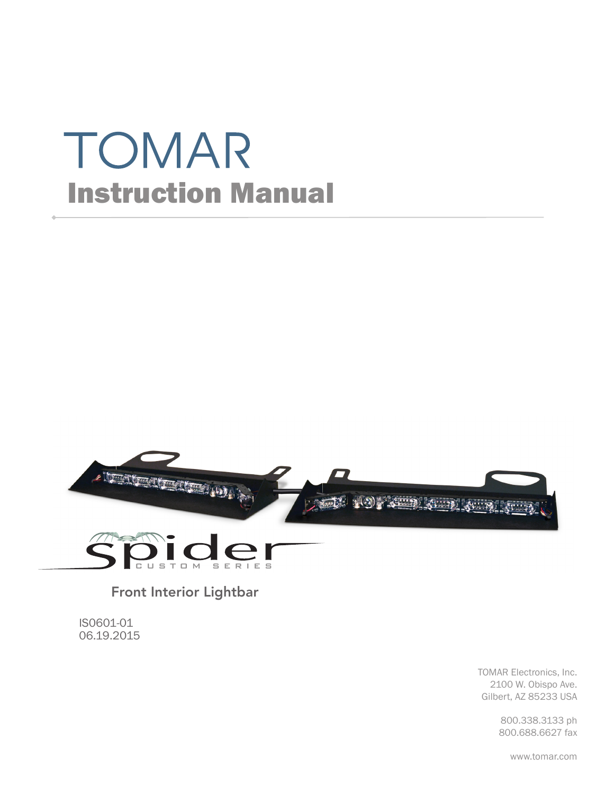# TOMAR Instruction Manual





Front Interior Lightbar

IS0601-01 06.19.2015

> TOMAR Electronics, Inc. 2100 W. Obispo Ave. Gilbert, AZ 85233 USA

> > 800.338.3133 ph 800.688.6627 fax

> > > www.tomar.com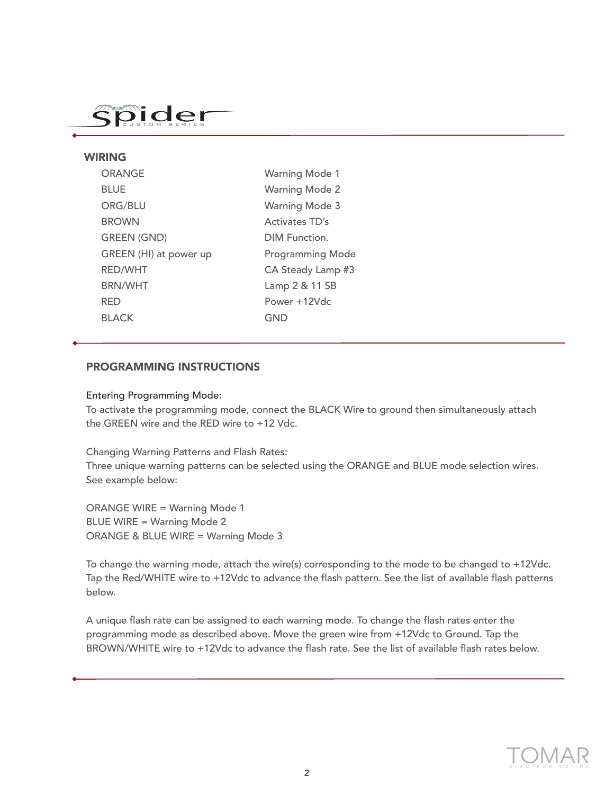## Spider

#### WIRING

| <b>ORANGE</b>          | <b>Warning Mode 1</b>   |
|------------------------|-------------------------|
| <b>BLUE</b>            | <b>Warning Mode 2</b>   |
| ORG/BLU                | <b>Warning Mode 3</b>   |
| <b>BROWN</b>           | Activates TD's          |
| <b>GREEN (GND)</b>     | DIM Function.           |
| GREEN (HI) at power up | <b>Programming Mode</b> |
| <b>RED/WHT</b>         | CA Steady Lamp #3       |
| <b>BRN/WHT</b>         | Lamp 2 & 11 SB          |
| <b>RED</b>             | Power +12Vdc            |
| <b>BLACK</b>           | GND                     |
|                        |                         |

#### PROGRAMMING INSTRUCTIONS

#### Entering Programming Mode:

To activate the programming mode, connect the BLACK Wire to ground then simultaneously attach the GREEN wire and the RED wire to +12 Vdc.

Changing Warning Patterns and Flash Rates:

Three unique warning patterns can be selected using the ORANGE and BLUE mode selection wires. See example below:

ORANGE WIRE = Warning Mode 1 BLUE WIRE = Warning Mode 2 ORANGE & BLUE WIRE = Warning Mode 3

To change the warning mode, attach the wire(s) corresponding to the mode to be changed to +12Vdc. Tap the Red/WHITE wire to +12Vdc to advance the flash pattern. See the list of available flash patterns below.

A unique flash rate can be assigned to each warning mode. To change the flash rates enter the programming mode as described above. Move the green wire from +12Vdc to Ground. Tap the BROWN/WHITE wire to +12Vdc to advance the flash rate. See the list of available flash rates below.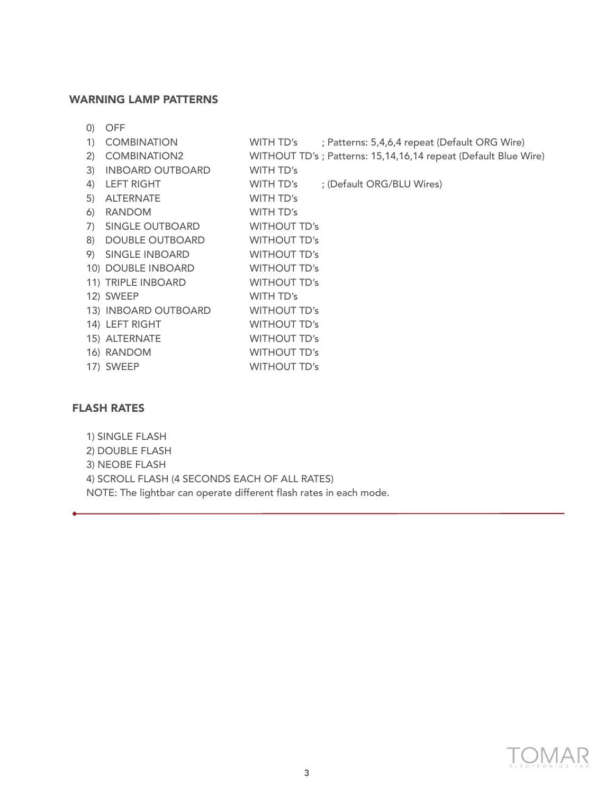#### WARNING LAMP PATTERNS

| $\left( 0\right)$ |    | OFF                     |                     |                                                                 |
|-------------------|----|-------------------------|---------------------|-----------------------------------------------------------------|
|                   | 1) | <b>COMBINATION</b>      | WITH TD's           | ; Patterns: 5,4,6,4 repeat (Default ORG Wire)                   |
| 2)                |    | <b>COMBINATION2</b>     |                     | WITHOUT TD's ; Patterns: 15,14,16,14 repeat (Default Blue Wire) |
| 3)                |    | <b>INBOARD OUTBOARD</b> | WITH TD's           |                                                                 |
| 4)                |    | <b>LEFT RIGHT</b>       | WITH TD's           | ; (Default ORG/BLU Wires)                                       |
| 5)                |    | <b>ALTERNATE</b>        | WITH TD's           |                                                                 |
| $\omega$          |    | <b>RANDOM</b>           | WITH TD's           |                                                                 |
| 7)                |    | SINGLE OUTBOARD         | <b>WITHOUT TD's</b> |                                                                 |
| 8)                |    | <b>DOUBLE OUTBOARD</b>  | <b>WITHOUT TD's</b> |                                                                 |
| 9)                |    | SINGLE INBOARD          | <b>WITHOUT TD's</b> |                                                                 |
|                   |    | 10) DOUBLE INBOARD      | <b>WITHOUT TD's</b> |                                                                 |
|                   |    | 11) TRIPLE INBOARD      | <b>WITHOUT TD's</b> |                                                                 |
|                   |    | 12) SWEEP               | WITH TD's           |                                                                 |
|                   |    | 13) INBOARD OUTBOARD    | <b>WITHOUT TD's</b> |                                                                 |
|                   |    | 14) LEFT RIGHT          | <b>WITHOUT TD's</b> |                                                                 |
|                   |    | 15) ALTERNATE           | <b>WITHOUT TD's</b> |                                                                 |
|                   |    | 16) RANDOM              | <b>WITHOUT TD's</b> |                                                                 |
|                   |    | 17) SWEEP               | <b>WITHOUT TD's</b> |                                                                 |

#### FLASH RATES

1) SINGLE FLASH 2) DOUBLE FLASH 3) NEOBE FLASH 4) SCROLL FLASH (4 SECONDS EACH OF ALL RATES) NOTE: The lightbar can operate different flash rates in each mode.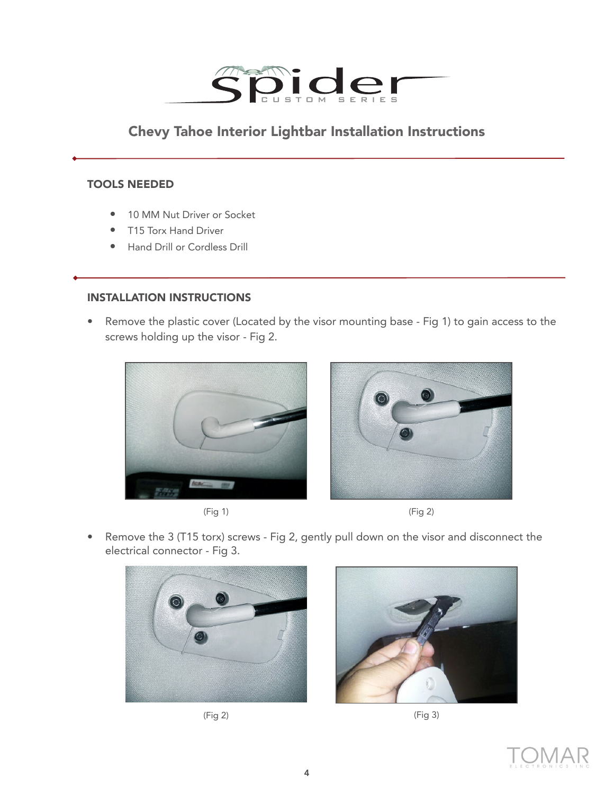

### Chevy Tahoe Interior Lightbar Installation Instructions

#### TOOLS NEEDED

- 10 MM Nut Driver or Socket
- T15 Torx Hand Driver
- Hand Drill or Cordless Drill

#### INSTALLATION INSTRUCTIONS

• Remove the plastic cover (Located by the visor mounting base - Fig 1) to gain access to the screws holding up the visor - Fig 2.









• Remove the 3 (T15 torx) screws - Fig 2, gently pull down on the visor and disconnect the electrical connector - Fig 3.